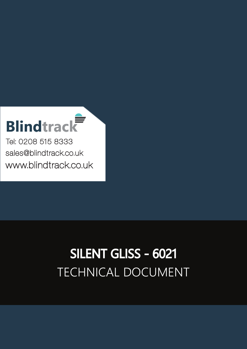# **Blindtrack**

Tel: 0208 515 8333 [sales@blindtrack.co.uk](mailto:sales%40blindtrack.co.uk?subject=) [www.blindtrack.co.uk](http://www.blindtrack.co.uk)

## TECHNICAL DOCUMENT SILENT GLISS - 6021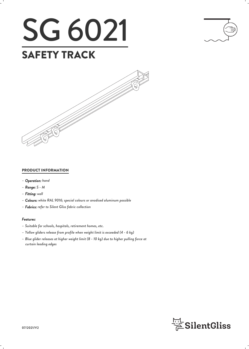



#### PRODUCT INFORMATION

- *– Operation: hand*
- *– Range: S M*
- *– Fitting: wall*
- *– Colours: white RAL 9016; special colours or anodised aluminum possible*
- *– Fabrics: refer to Silent Gliss fabric collection*

### *Features:*

- *– Suitable for schools, hospitals, retirement homes, etc.*
- *– Yellow gliders release from profile when weight limit is exceeded (4 6 kg)*
- *– Blue glider releases at higher weight limit (8 10 kg) due to higher pulling force at curtain leading edges*

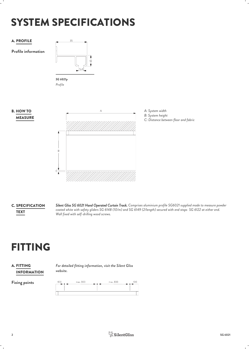## SYSTEM SPECIFICATIONS

### A. PROFILE

**Profile information**



*SG 6021p Profile*



- *A: System width B: System height*
- *C: Distance between floor and fabric*

**C. SPECIFICATION** 

*Silent Gliss SG 6021 Hand Operated Curtain Track. Comprises aluminium profile SG6021 supplied made to measure powder* SPECIFICATION *coated white with safety gliders SG 6148 (10/m) and SG 6149 (2/length) secured with end stops SG 6122 at either end. Wall fixed with self-drilling wood screws.* TEXT

### FITTING

### INFORMATION **A. FITTING**

*For detailed fitting information, visit the Silent Gliss* FITTING *website.*

**Fixing points**

| 100 | max. 300 | . . | max. 300 | 100 |
|-----|----------|-----|----------|-----|
|     |          |     |          |     |
|     |          |     |          |     |
|     |          |     |          |     |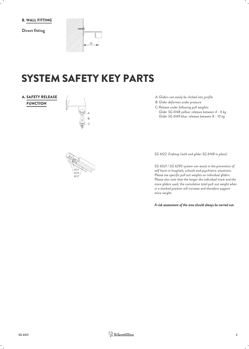**Direct fitting**



### SYSTEM SAFETY KEY PARTS

### SAFETY RELEASE A. *A:* FUNCTION





*Gliders can easily be clicked into profile*

- *Glider deformes under pressure B:*
- *Release under following pull weights: C:*
	- *Glider SG 6148 yellow: releases between 4 6 kg Glider SG 6149 blue: releases between 8 - 10 kg*

*SG 6122: Endstop (with end glider SG 6148 in place)*

*SG 6021 / SG 6290 system can assist in the prevention of self harm in hospitals, schools and psychiatric situations. Please see specific pull out weights on individual gliders. Please also note that the longer the individual track and the more gliders used, the cumulative total pull-out weight when in a stacked position will increase and therefore support more weight.*

*A risk assessment of the area should always be carried out.*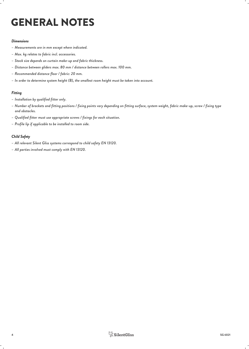### GENERAL NOTES

#### *Dimensions*

- *– Measurements are in mm except where indicated.*
- *– Max. kg relates to fabric incl. accessories.*
- *– Stack size depends on curtain make-up and fabric thickness.*
- *– Distance between gliders max. 80 mm / distance between rollers max. 100 mm.*
- *– Recommended distance floor / fabric: 20 mm.*
- *– In order to determine system height (B), the smallest room height must be taken into account.*

#### *Fitting*

- *– Installation by qualified fitter only.*
- *– Number of brackets and fitting positions / fixing points vary depending on fitting surface, system weight, fabric make-up, screw / fixing type and obstacles.*
- *– Qualified fitter must use appropriate screws / fixings for each situation.*
- *– Profile lip if applicable to be installed to room side.*

### *Child Safety*

- *– All relevant Silent Gliss systems correspond to child safety EN 13120.*
- *– All parties involved must comply with EN 13120.*

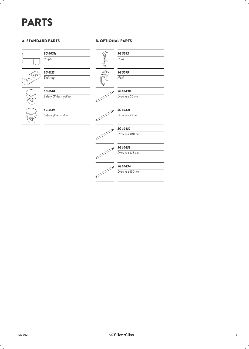### PARTS

### A. STANDARD PARTS

**SG 6021p**<br> *Profile* (*Profile Profile*

Ò

*SG 6122 End stop*

*SG 6148 Safety Glider - yellow*

*SG 6149 Safety glider - blue*

### B. OPTIONAL PARTS

R

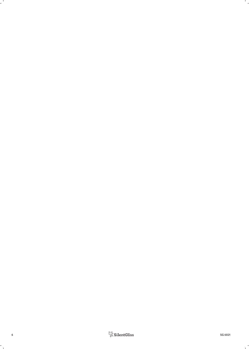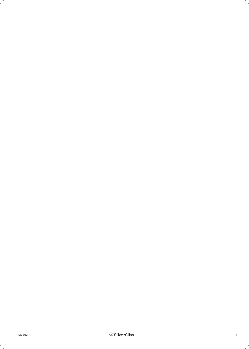

 $\overline{7}$